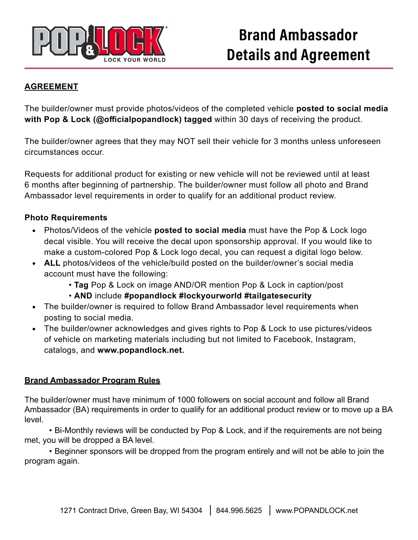

# **Brand Ambassador Details and Agreement**

#### **AGREEMENT**

The builder/owner must provide photos/videos of the completed vehicle **posted to social media with Pop & Lock (@officialpopandlock) tagged** within 30 days of receiving the product.

The builder/owner agrees that they may NOT sell their vehicle for 3 months unless unforeseen circumstances occur.

Requests for additional product for existing or new vehicle will not be reviewed until at least 6 months after beginning of partnership. The builder/owner must follow all photo and Brand Ambassador level requirements in order to qualify for an additional product review.

## **Photo Requirements**

- Photos/Videos of the vehicle **posted to social media** must have the Pop & Lock logo decal visible. You will receive the decal upon sponsorship approval. If you would like to make a custom-colored Pop & Lock logo decal, you can request a digital logo below.
- **ALL** photos/videos of the vehicle/build posted on the builder/owner's social media account must have the following:
	- **Tag** Pop & Lock on image AND/OR mention Pop & Lock in caption/post
	- **AND** include **#popandlock #lockyourworld #tailgatesecurity**
- The builder/owner is required to follow Brand Ambassador level requirements when posting to social media.
- The builder/owner acknowledges and gives rights to Pop & Lock to use pictures/videos of vehicle on marketing materials including but not limited to Facebook, Instagram, catalogs, and **www.popandlock.net.**

## **Brand Ambassador Program Rules**

The builder/owner must have minimum of 1000 followers on social account and follow all Brand Ambassador (BA) requirements in order to qualify for an additional product review or to move up a BA level.

• Bi-Monthly reviews will be conducted by Pop & Lock, and if the requirements are not being met, you will be dropped a BA level.

• Beginner sponsors will be dropped from the program entirely and will not be able to join the program again.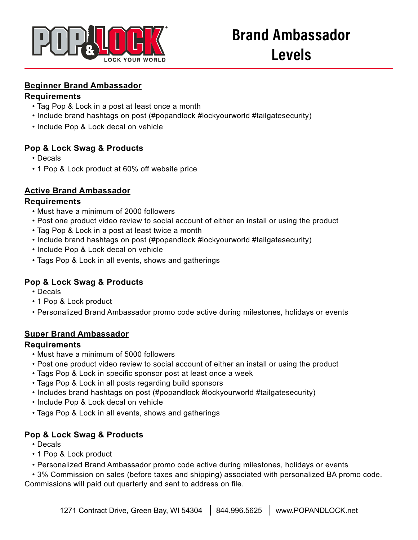

#### **Beginner Brand Ambassador**

#### **Requirements**

- Tag Pop & Lock in a post at least once a month
- Include brand hashtags on post (#popandlock #lockyourworld #tailgatesecurity)
- Include Pop & Lock decal on vehicle

# **Pop & Lock Swag & Products**

- Decals
- 1 Pop & Lock product at 60% off website price

# **Active Brand Ambassador**

#### **Requirements**

- Must have a minimum of 2000 followers
- Post one product video review to social account of either an install or using the product
- Tag Pop & Lock in a post at least twice a month
- Include brand hashtags on post (#popandlock #lockyourworld #tailgatesecurity)
- Include Pop & Lock decal on vehicle
- Tags Pop & Lock in all events, shows and gatherings

# **Pop & Lock Swag & Products**

- Decals
- 1 Pop & Lock product
- Personalized Brand Ambassador promo code active during milestones, holidays or events

## **Super Brand Ambassador**

## **Requirements**

- Must have a minimum of 5000 followers
- Post one product video review to social account of either an install or using the product
- Tags Pop & Lock in specific sponsor post at least once a week
- Tags Pop & Lock in all posts regarding build sponsors
- Includes brand hashtags on post (#popandlock #lockyourworld #tailgatesecurity)
- Include Pop & Lock decal on vehicle
- Tags Pop & Lock in all events, shows and gatherings

# **Pop & Lock Swag & Products**

- Decals
- 1 Pop & Lock product
- Personalized Brand Ambassador promo code active during milestones, holidays or events

• 3% Commission on sales (before taxes and shipping) associated with personalized BA promo code. Commissions will paid out quarterly and sent to address on file.